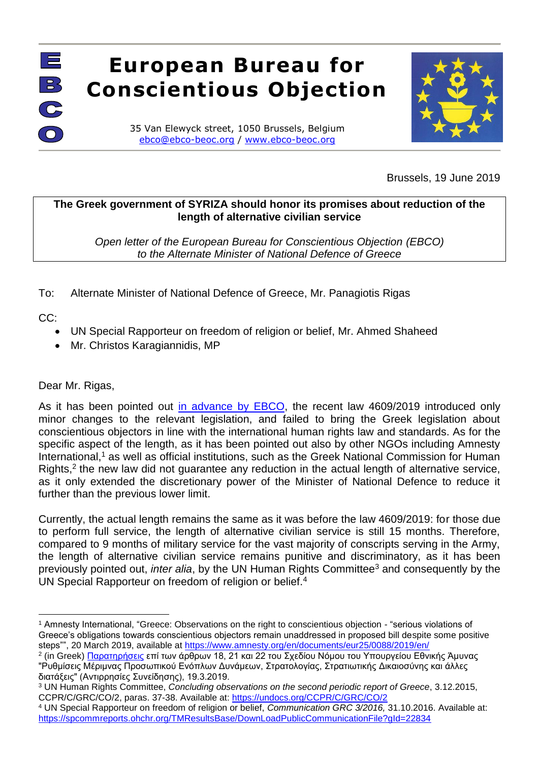## EQ U EI **European Bureau for Conscientious Objection**

35 Van Elewyck street, 1050 Brussels, Belgium [ebco@ebco-beoc.org](mailto:ebco@ebco-beoc.eu) / [www.ebco-beoc.org](http://www.ebco-beoc.org/)



Brussels, 19 June 2019

## **The Greek government of SYRIZA should honor its promises about reduction of the length of alternative civilian service**

*Open letter of the European Bureau for Conscientious Objection (EBCO) to the Alternate Minister of National Defence of Greece*

To: Alternate Minister of National Defence of Greece, Mr. Panagiotis Rigas

CC:

 $\overline{\bigcirc}$ 

- UN Special Rapporteur on freedom of religion or belief, Mr. Ahmed Shaheed
- Mr. Christos Karagiannidis, MP

Dear Mr. Rigas,

As it has been pointed out [in advance by EBCO,](http://www.ebco-beoc.org/node/453) the recent law 4609/2019 introduced only minor changes to the relevant legislation, and failed to bring the Greek legislation about conscientious objectors in line with the international human rights law and standards. As for the specific aspect of the length, as it has been pointed out also by other NGOs including Amnesty International,<sup>1</sup> as well as official institutions, such as the Greek National Commission for Human Rights, $2$  the new law did not guarantee any reduction in the actual length of alternative service, as it only extended the discretionary power of the Minister of National Defence to reduce it further than the previous lower limit.

Currently, the actual length remains the same as it was before the law 4609/2019: for those due to perform full service, the length of alternative civilian service is still 15 months. Therefore, compared to 9 months of military service for the vast majority of conscripts serving in the Army, the length of alternative civilian service remains punitive and discriminatory, as it has been previously pointed out, *inter alia*, by the UN Human Rights Committee<sup>3</sup> and consequently by the UN Special Rapporteur on freedom of religion or belief.<sup>4</sup>

 $\overline{a}$ <sup>1</sup> Amnesty International, "Greece: Observations on the right to conscientious objection - "serious violations of Greece's obligations towards conscientious objectors remain unaddressed in proposed bill despite some positive steps"", 20 March 2019, available at <https://www.amnesty.org/en/documents/eur25/0088/2019/en/>

<sup>&</sup>lt;sup>2</sup> (in Greek) <u>Παρατηρήσεις</u> επί των άρθρων 18, 21 και 22 του Σχεδίου Νόμου του Υπουργείου Εθνικής Άμυνας "Ρυθμίσεις Μέριμνας Προσωπικού Ενόπλων Δυνάμεων, Στρατολογίας, Στρατιωτικής Δικαιοσύνης και άλλες διατάξεις" (Αντιρρησίες Συνείδησης), 19.3.2019.

<sup>3</sup> UN Human Rights Committee, *Concluding observations on the second periodic report of Greece*, 3.12.2015, CCPR/C/GRC/CO/2, paras. 37-38. Available at:<https://undocs.org/CCPR/C/GRC/CO/2>

<sup>4</sup> UN Special Rapporteur on freedom of religion or belief, *Communication GRC 3/2016,* 31.10.2016. Available at: <https://spcommreports.ohchr.org/TMResultsBase/DownLoadPublicCommunicationFile?gId=22834>